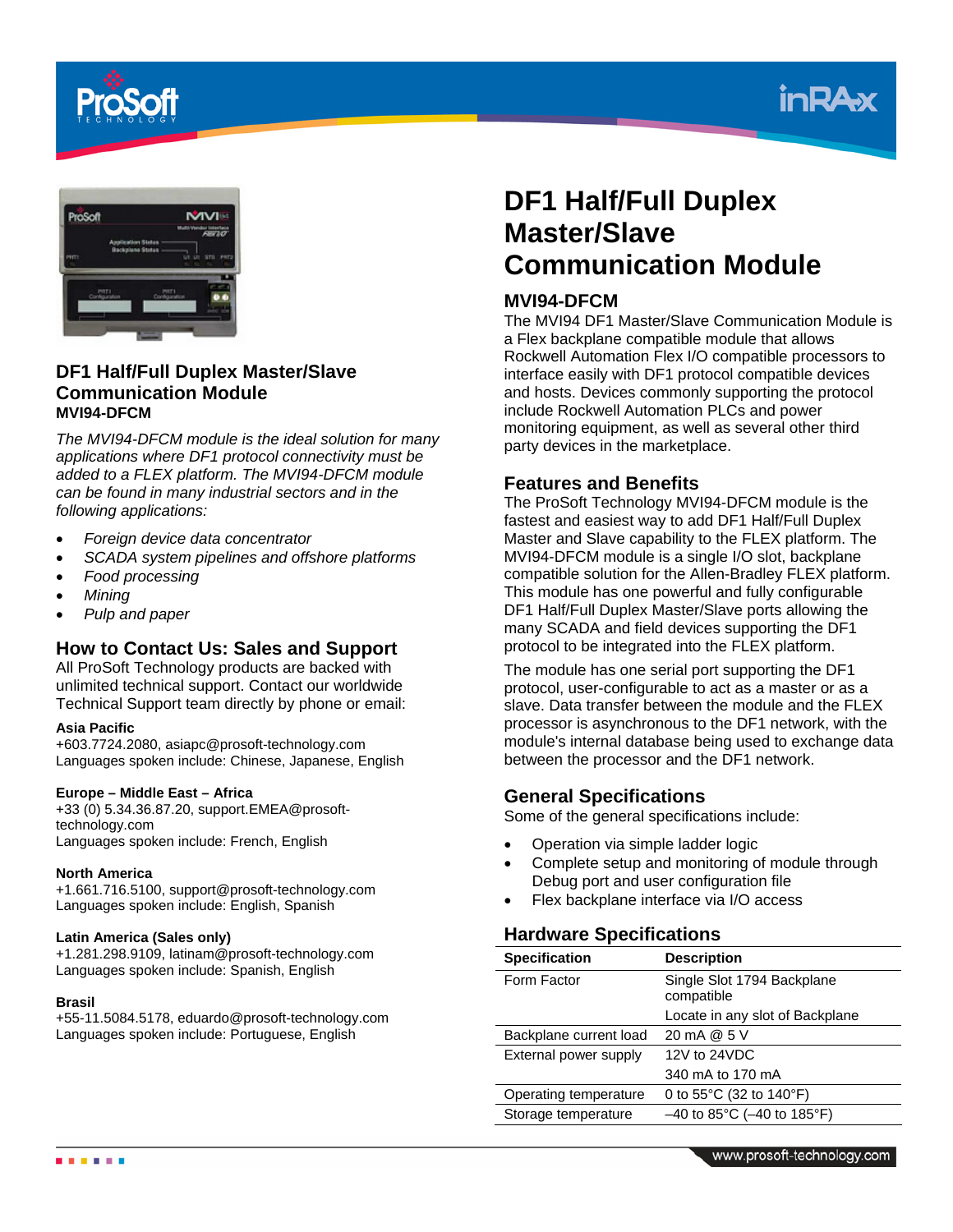





## **DF1 Half/Full Duplex Master/Slave Communication Module MVI94-DFCM**

*The MVI94-DFCM module is the ideal solution for many applications where DF1 protocol connectivity must be added to a FLEX platform. The MVI94-DFCM module can be found in many industrial sectors and in the following applications:* 

- *Foreign device data concentrator*
- *SCADA system pipelines and offshore platforms*
- *Food processing*
- *Mining*
- *Pulp and paper*

## **How to Contact Us: Sales and Support**

All ProSoft Technology products are backed with unlimited technical support. Contact our worldwide Technical Support team directly by phone or email:

### **Asia Pacific**

+603.7724.2080, asiapc@prosoft-technology.com Languages spoken include: Chinese, Japanese, English

### **Europe – Middle East – Africa**

+33 (0) 5.34.36.87.20, support.EMEA@prosofttechnology.com Languages spoken include: French, English

### **North America**

+1.661.716.5100, support@prosoft-technology.com Languages spoken include: English, Spanish

### **Latin America (Sales only)**

+1.281.298.9109, latinam@prosoft-technology.com Languages spoken include: Spanish, English

### **Brasil**

+55-11.5084.5178, eduardo@prosoft-technology.com Languages spoken include: Portuguese, English

# **DF1 Half/Full Duplex Master/Slave Communication Module**

# **MVI94-DFCM**

The MVI94 DF1 Master/Slave Communication Module is a Flex backplane compatible module that allows Rockwell Automation Flex I/O compatible processors to interface easily with DF1 protocol compatible devices and hosts. Devices commonly supporting the protocol include Rockwell Automation PLCs and power monitoring equipment, as well as several other third party devices in the marketplace.

### **Features and Benefits**

The ProSoft Technology MVI94-DFCM module is the fastest and easiest way to add DF1 Half/Full Duplex Master and Slave capability to the FLEX platform. The MVI94-DFCM module is a single I/O slot, backplane compatible solution for the Allen-Bradley FLEX platform. This module has one powerful and fully configurable DF1 Half/Full Duplex Master/Slave ports allowing the many SCADA and field devices supporting the DF1 protocol to be integrated into the FLEX platform.

The module has one serial port supporting the DF1 protocol, user-configurable to act as a master or as a slave. Data transfer between the module and the FLEX processor is asynchronous to the DF1 network, with the module's internal database being used to exchange data between the processor and the DF1 network.

### **General Specifications**

Some of the general specifications include:

- Operation via simple ladder logic
- Complete setup and monitoring of module through Debug port and user configuration file
- Flex backplane interface via I/O access

## **Hardware Specifications**

| <b>Specification</b>   | <b>Description</b>                          |
|------------------------|---------------------------------------------|
| Form Factor            | Single Slot 1794 Backplane<br>compatible    |
|                        | Locate in any slot of Backplane             |
| Backplane current load | 20 mA @ 5 V                                 |
| External power supply  | 12V to 24VDC                                |
|                        | 340 mA to 170 mA                            |
| Operating temperature  | 0 to $55^{\circ}$ C (32 to $140^{\circ}$ F) |
| Storage temperature    | $-40$ to 85°C ( $-40$ to 185°F)             |